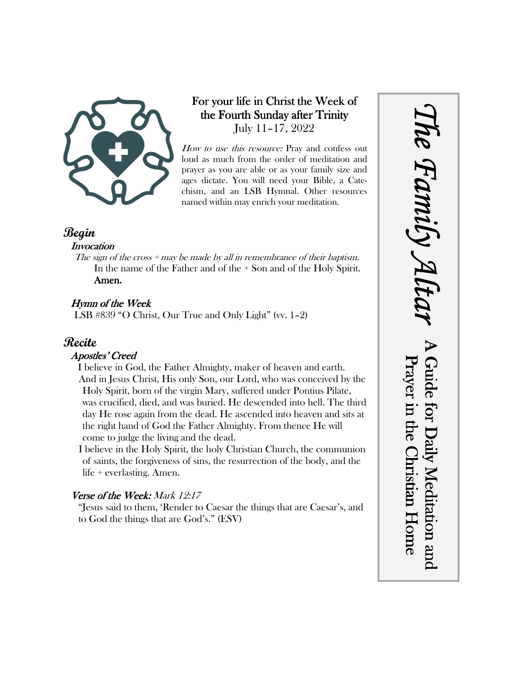

## For your life in Christ the Week of the Fourth Sunday after Trinity July 11–17, 2022

How to use this resource: Pray and confess out loud as much from the order of meditation and prayer as you are able or as your family size and ages dictate. You will need your Bible, a Catechism, and an LSB Hymnal. Other resources named within may enrich your meditation.

## **Begin**

#### **Invocation**

The sign of the cross  $+$  may be made by all in remembrance of their baptism. In the name of the Father and of the + Son and of the Holy Spirit. Amen.

## Hymn of the Week

LSB #839 "O Christ, Our True and Only Light" (vv. 1–2)

## **Recite**

### Apostles' Creed

I believe in God, the Father Almighty, maker of heaven and earth. And in Jesus Christ, His only Son, our Lord, who was conceived by the Holy Spirit, born of the virgin Mary, suffered under Pontius Pilate, was crucified, died, and was buried. He descended into hell. The third day He rose again from the dead. He ascended into heaven and sits at the right hand of God the Father Almighty. From thence He will come to judge the living and the dead.

I believe in the Holy Spirit, the holy Christian Church, the communion of saints, the forgiveness of sins, the resurrection of the body, and the life + everlasting. Amen.

## Verse of the Week: Mark 12:17

"Jesus said to them, 'Render to Caesar the things that are Caesar's, and to God the things that are God's." (ESV)

*The Family Altar* he Family A Guide for Daily Meditation and Prayer in the Christian Home Guide for Daily Meditation and Prayer in the Christian Home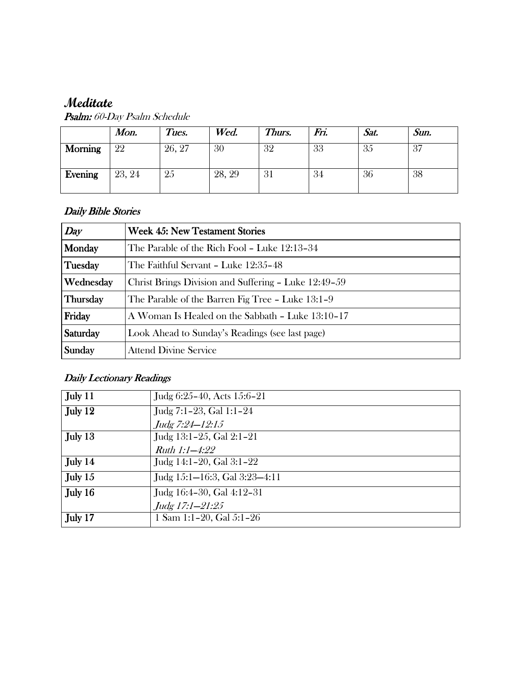# **Meditate**

|                | Mon.   | Tues.  | Wed.   | Thurs. | Fri. | Sat. | Sun. |
|----------------|--------|--------|--------|--------|------|------|------|
| <b>Morning</b> | 22     | 26, 27 | 30     | 32     | 33   | 35   | 37   |
| Evening        | 23, 24 | 25     | 28, 29 | 31     | 34   | 36   | 38   |

Psalm: 60-Day Psalm Schedule

### Daily Bible Stories

| Day             | <b>Week 45: New Testament Stories</b>                |  |  |
|-----------------|------------------------------------------------------|--|--|
| Monday          | The Parable of the Rich Fool - Luke 12:13-34         |  |  |
| Tuesday         | The Faithful Servant – Luke 12:35–48                 |  |  |
| Wednesday       | Christ Brings Division and Suffering - Luke 12:49-59 |  |  |
| <b>Thursday</b> | The Parable of the Barren Fig Tree - Luke 13:1-9     |  |  |
| Friday          | A Woman Is Healed on the Sabbath - Luke 13:10-17     |  |  |
| Saturday        | Look Ahead to Sunday's Readings (see last page)      |  |  |
| Sunday          | <b>Attend Divine Service</b>                         |  |  |

## Daily Lectionary Readings

| July 11 | Judg 6:25-40, Acts 15:6-21    |
|---------|-------------------------------|
| July 12 | Judg 7:1-23, Gal 1:1-24       |
|         | Judg 7:24-12:15               |
| July 13 | Judg 13:1-25, Gal 2:1-21      |
|         | <i>Ruth 1:1-4:22</i>          |
| July 14 | Judg $14:1-20$ , Gal $3:1-22$ |
| July 15 | Judg 15:1-16:3, Gal 3:23-4:11 |
| July 16 | Judg 16:4-30, Gal 4:12-31     |
|         | Judg 17:1-21:25               |
| July 17 | 1 Sam 1:1-20, Gal $5:1-26$    |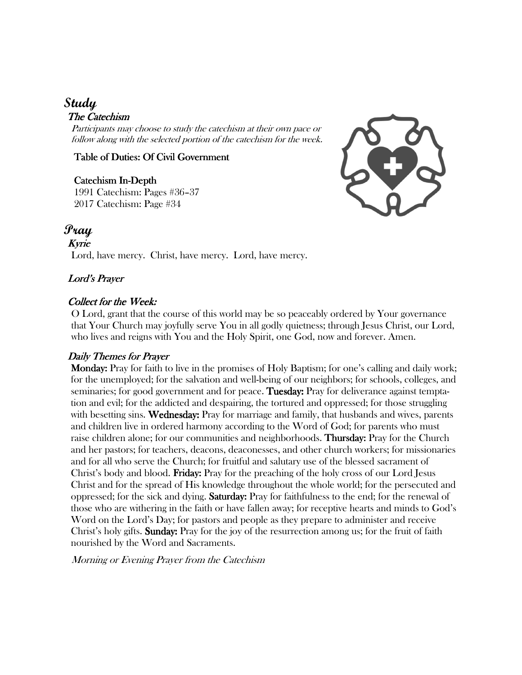## **Study**

### The Catechism

Participants may choose to study the catechism at their own pace or follow along with the selected portion of the catechism for the week.

#### Table of Duties: Of Civil Government

#### Catechism In-Depth

1991 Catechism: Pages #36–37 2017 Catechism: Page #34



## **Pray**

Kyrie Lord, have mercy. Christ, have mercy. Lord, have mercy.

### Lord's Prayer

#### Collect for the Week:

O Lord, grant that the course of this world may be so peaceably ordered by Your governance that Your Church may joyfully serve You in all godly quietness; through Jesus Christ, our Lord, who lives and reigns with You and the Holy Spirit, one God, now and forever. Amen.

#### Daily Themes for Prayer

 Monday: Monday: Pray for faith to live in the promises of Holy Baptism; for one's calling and daily work; for the unemployed; for the salvation and well-being of our neighbors; for schools, colleges, and seminaries; for good government and for peace. Tuesday: Pray for deliverance against temptation and evil; for the addicted and despairing, the tortured and oppressed; for those struggling with besetting sins. Wednesday: Pray for marriage and family, that husbands and wives, parents and children live in ordered harmony according to the Word of God; for parents who must raise children alone; for our communities and neighborhoods. **Thursday:** Pray for the Church and her pastors; for teachers, deacons, deaconesses, and other church workers; for missionaries and for all who serve the Church; for fruitful and salutary use of the blessed sacrament of Christ's body and blood. **Friday:** Pray for the preaching of the holy cross of our Lord Jesus Christ and for the spread of His knowledge throughout the whole world; for the persecuted and oppressed; for the sick and dying. **Saturday:** Pray for faithfulness to the end; for the renewal of those who are withering in the faith or have fallen away; for receptive hearts and minds to God's Word on the Lord's Day; for pastors and people as they prepare to administer and receive Christ's holy gifts. **Sunday:** Pray for the joy of the resurrection among us; for the fruit of faith nourished by the Word and Sacraments.

Morning or Evening Prayer from the Catechism